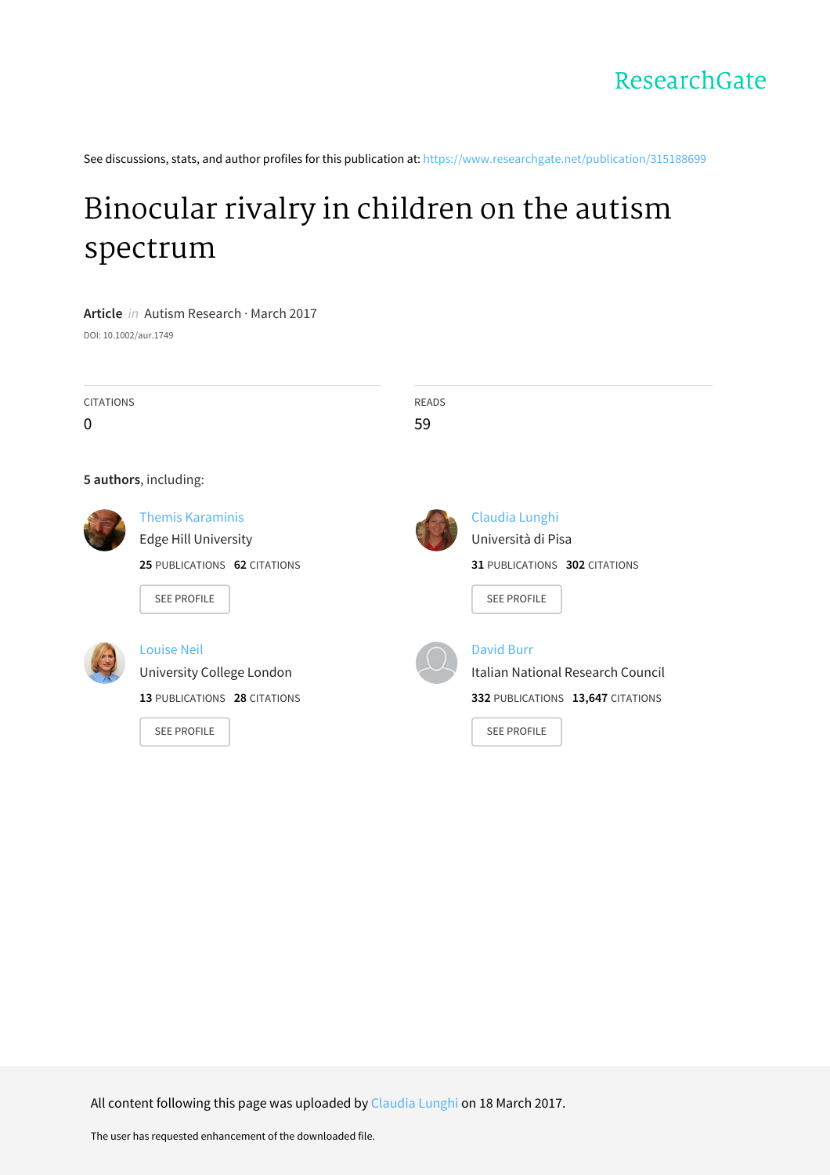See discussions, stats, and author profiles for this publication at: [https://www.researchgate.net/publication/315188699](https://www.researchgate.net/publication/315188699_Binocular_rivalry_in_children_on_the_autism_spectrum?enrichId=rgreq-c152e65abede8fd7b77c8e00490ab899-XXX&enrichSource=Y292ZXJQYWdlOzMxNTE4ODY5OTtBUzo0NzMzMjE0MDcwMjkyNDhAMTQ4OTg2MDAyNjAyMg%3D%3D&el=1_x_2&_esc=publicationCoverPdf)

# [Binocular](https://www.researchgate.net/publication/315188699_Binocular_rivalry_in_children_on_the_autism_spectrum?enrichId=rgreq-c152e65abede8fd7b77c8e00490ab899-XXX&enrichSource=Y292ZXJQYWdlOzMxNTE4ODY5OTtBUzo0NzMzMjE0MDcwMjkyNDhAMTQ4OTg2MDAyNjAyMg%3D%3D&el=1_x_3&_esc=publicationCoverPdf) rivalry in children on the autism spectrum

**Article** in Autism Research · March 2017 DOI: 10.1002/aur.1749



All content following this page was uploaded by [Claudia](https://www.researchgate.net/profile/Claudia_Lunghi?enrichId=rgreq-c152e65abede8fd7b77c8e00490ab899-XXX&enrichSource=Y292ZXJQYWdlOzMxNTE4ODY5OTtBUzo0NzMzMjE0MDcwMjkyNDhAMTQ4OTg2MDAyNjAyMg%3D%3D&el=1_x_10&_esc=publicationCoverPdf) Lunghi on 18 March 2017.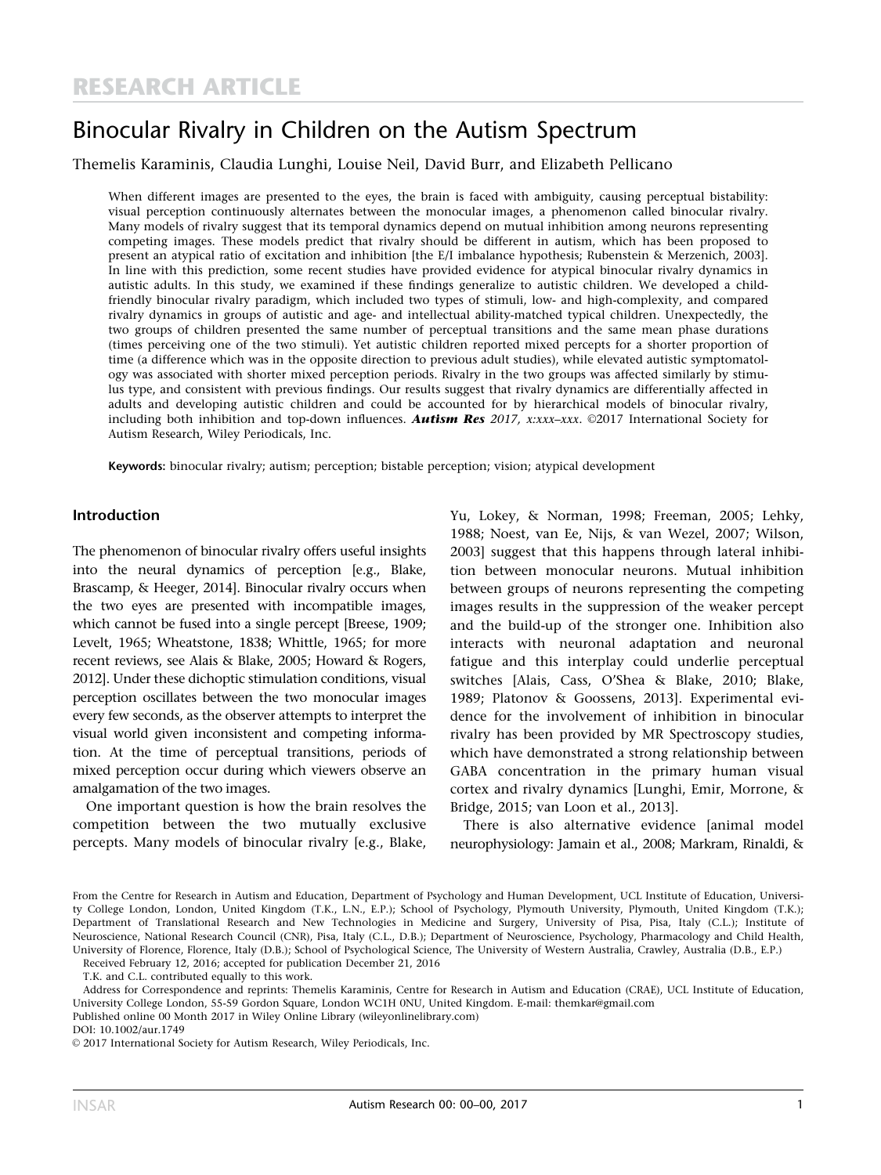# Binocular Rivalry in Children on the Autism Spectrum

Themelis Karaminis, Claudia Lunghi, Louise Neil, David Burr, and Elizabeth Pellicano

When different images are presented to the eyes, the brain is faced with ambiguity, causing perceptual bistability: visual perception continuously alternates between the monocular images, a phenomenon called binocular rivalry. Many models of rivalry suggest that its temporal dynamics depend on mutual inhibition among neurons representing competing images. These models predict that rivalry should be different in autism, which has been proposed to present an atypical ratio of excitation and inhibition [the E/I imbalance hypothesis; Rubenstein & Merzenich, 2003]. In line with this prediction, some recent studies have provided evidence for atypical binocular rivalry dynamics in autistic adults. In this study, we examined if these findings generalize to autistic children. We developed a childfriendly binocular rivalry paradigm, which included two types of stimuli, low- and high-complexity, and compared rivalry dynamics in groups of autistic and age- and intellectual ability-matched typical children. Unexpectedly, the two groups of children presented the same number of perceptual transitions and the same mean phase durations (times perceiving one of the two stimuli). Yet autistic children reported mixed percepts for a shorter proportion of time (a difference which was in the opposite direction to previous adult studies), while elevated autistic symptomatology was associated with shorter mixed perception periods. Rivalry in the two groups was affected similarly by stimulus type, and consistent with previous findings. Our results suggest that rivalry dynamics are differentially affected in adults and developing autistic children and could be accounted for by hierarchical models of binocular rivalry, including both inhibition and top-down influences. **Autism Res** 2017, x:xxx–xxx. ©2017 International Society for Autism Research, Wiley Periodicals, Inc.

Keywords: binocular rivalry; autism; perception; bistable perception; vision; atypical development

#### Introduction

The phenomenon of binocular rivalry offers useful insights into the neural dynamics of perception [e.g., Blake, Brascamp, & Heeger, 2014]. Binocular rivalry occurs when the two eyes are presented with incompatible images, which cannot be fused into a single percept [Breese, 1909; Levelt, 1965; Wheatstone, 1838; Whittle, 1965; for more recent reviews, see Alais & Blake, 2005; Howard & Rogers, 2012]. Under these dichoptic stimulation conditions, visual perception oscillates between the two monocular images every few seconds, as the observer attempts to interpret the visual world given inconsistent and competing information. At the time of perceptual transitions, periods of mixed perception occur during which viewers observe an amalgamation of the two images.

One important question is how the brain resolves the competition between the two mutually exclusive percepts. Many models of binocular rivalry [e.g., Blake,

Yu, Lokey, & Norman, 1998; Freeman, 2005; Lehky, 1988; Noest, van Ee, Nijs, & van Wezel, 2007; Wilson, 2003] suggest that this happens through lateral inhibition between monocular neurons. Mutual inhibition between groups of neurons representing the competing images results in the suppression of the weaker percept and the build-up of the stronger one. Inhibition also interacts with neuronal adaptation and neuronal fatigue and this interplay could underlie perceptual switches [Alais, Cass, O'Shea & Blake, 2010; Blake, 1989; Platonov & Goossens, 2013]. Experimental evidence for the involvement of inhibition in binocular rivalry has been provided by MR Spectroscopy studies, which have demonstrated a strong relationship between GABA concentration in the primary human visual cortex and rivalry dynamics [Lunghi, Emir, Morrone, & Bridge, 2015; van Loon et al., 2013].

There is also alternative evidence [animal model neurophysiology: Jamain et al., 2008; Markram, Rinaldi, &

From the Centre for Research in Autism and Education, Department of Psychology and Human Development, UCL Institute of Education, University College London, London, United Kingdom (T.K., L.N., E.P.); School of Psychology, Plymouth University, Plymouth, United Kingdom (T.K.); Department of Translational Research and New Technologies in Medicine and Surgery, University of Pisa, Pisa, Italy (C.L.); Institute of Neuroscience, National Research Council (CNR), Pisa, Italy (C.L., D.B.); Department of Neuroscience, Psychology, Pharmacology and Child Health, University of Florence, Florence, Italy (D.B.); School of Psychological Science, The University of Western Australia, Crawley, Australia (D.B., E.P.)

Address for Correspondence and reprints: Themelis Karaminis, Centre for Research in Autism and Education (CRAE), UCL Institute of Education, University College London, 55-59 Gordon Square, London WC1H 0NU, United Kingdom. E-mail: themkar@gmail.com Published online 00 Month 2017 in Wiley Online Library (wileyonlinelibrary.com) DOI: 10.1002/aur.1749

Received February 12, 2016; accepted for publication December 21, 2016

T.K. and C.L. contributed equally to this work.

 $©$  2017 International Society for Autism Research, Wiley Periodicals, Inc.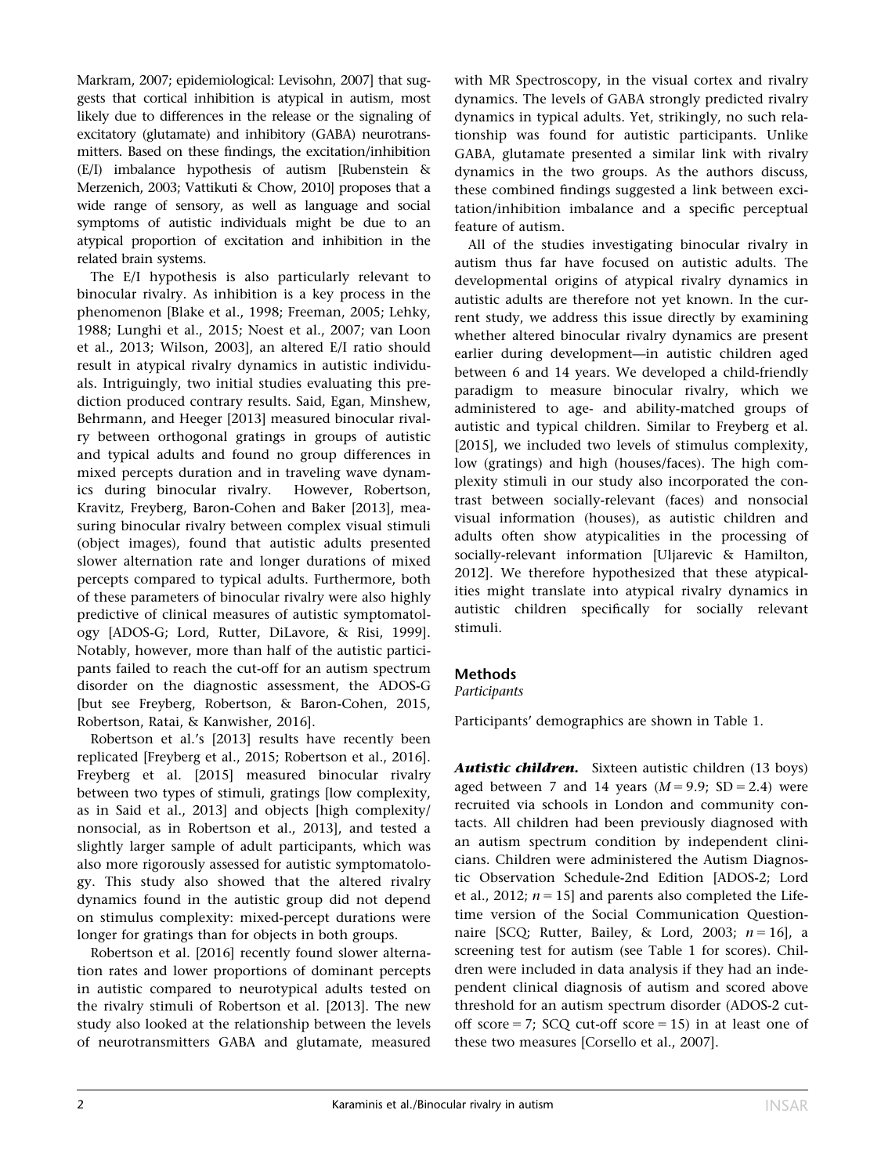Markram, 2007; epidemiological: Levisohn, 2007] that suggests that cortical inhibition is atypical in autism, most likely due to differences in the release or the signaling of excitatory (glutamate) and inhibitory (GABA) neurotransmitters. Based on these findings, the excitation/inhibition (E/I) imbalance hypothesis of autism [Rubenstein & Merzenich, 2003; Vattikuti & Chow, 2010] proposes that a wide range of sensory, as well as language and social symptoms of autistic individuals might be due to an atypical proportion of excitation and inhibition in the related brain systems.

The E/I hypothesis is also particularly relevant to binocular rivalry. As inhibition is a key process in the phenomenon [Blake et al., 1998; Freeman, 2005; Lehky, 1988; Lunghi et al., 2015; Noest et al., 2007; van Loon et al., 2013; Wilson, 2003], an altered E/I ratio should result in atypical rivalry dynamics in autistic individuals. Intriguingly, two initial studies evaluating this prediction produced contrary results. Said, Egan, Minshew, Behrmann, and Heeger [2013] measured binocular rivalry between orthogonal gratings in groups of autistic and typical adults and found no group differences in mixed percepts duration and in traveling wave dynamics during binocular rivalry. However, Robertson, Kravitz, Freyberg, Baron-Cohen and Baker [2013], measuring binocular rivalry between complex visual stimuli (object images), found that autistic adults presented slower alternation rate and longer durations of mixed percepts compared to typical adults. Furthermore, both of these parameters of binocular rivalry were also highly predictive of clinical measures of autistic symptomatology [ADOS-G; Lord, Rutter, DiLavore, & Risi, 1999]. Notably, however, more than half of the autistic participants failed to reach the cut-off for an autism spectrum disorder on the diagnostic assessment, the ADOS-G [but see Freyberg, Robertson, & Baron-Cohen, 2015, Robertson, Ratai, & Kanwisher, 2016].

Robertson et al.'s [2013] results have recently been replicated [Freyberg et al., 2015; Robertson et al., 2016]. Freyberg et al. [2015] measured binocular rivalry between two types of stimuli, gratings [low complexity, as in Said et al., 2013] and objects [high complexity/ nonsocial, as in Robertson et al., 2013], and tested a slightly larger sample of adult participants, which was also more rigorously assessed for autistic symptomatology. This study also showed that the altered rivalry dynamics found in the autistic group did not depend on stimulus complexity: mixed-percept durations were longer for gratings than for objects in both groups.

Robertson et al. [2016] recently found slower alternation rates and lower proportions of dominant percepts in autistic compared to neurotypical adults tested on the rivalry stimuli of Robertson et al. [2013]. The new study also looked at the relationship between the levels of neurotransmitters GABA and glutamate, measured with MR Spectroscopy, in the visual cortex and rivalry dynamics. The levels of GABA strongly predicted rivalry dynamics in typical adults. Yet, strikingly, no such relationship was found for autistic participants. Unlike GABA, glutamate presented a similar link with rivalry dynamics in the two groups. As the authors discuss, these combined findings suggested a link between excitation/inhibition imbalance and a specific perceptual feature of autism.

All of the studies investigating binocular rivalry in autism thus far have focused on autistic adults. The developmental origins of atypical rivalry dynamics in autistic adults are therefore not yet known. In the current study, we address this issue directly by examining whether altered binocular rivalry dynamics are present earlier during development—in autistic children aged between 6 and 14 years. We developed a child-friendly paradigm to measure binocular rivalry, which we administered to age- and ability-matched groups of autistic and typical children. Similar to Freyberg et al. [2015], we included two levels of stimulus complexity, low (gratings) and high (houses/faces). The high complexity stimuli in our study also incorporated the contrast between socially-relevant (faces) and nonsocial visual information (houses), as autistic children and adults often show atypicalities in the processing of socially-relevant information [Uljarevic & Hamilton, 2012]. We therefore hypothesized that these atypicalities might translate into atypical rivalry dynamics in autistic children specifically for socially relevant stimuli.

# Methods

## Participants

Participants' demographics are shown in Table 1.

Autistic children. Sixteen autistic children (13 boys) aged between 7 and 14 years  $(M = 9.9; SD = 2.4)$  were recruited via schools in London and community contacts. All children had been previously diagnosed with an autism spectrum condition by independent clinicians. Children were administered the Autism Diagnostic Observation Schedule-2nd Edition [ADOS-2; Lord et al., 2012;  $n = 15$ ] and parents also completed the Lifetime version of the Social Communication Questionnaire [SCQ; Rutter, Bailey, & Lord, 2003;  $n = 16$ ], a screening test for autism (see Table 1 for scores). Children were included in data analysis if they had an independent clinical diagnosis of autism and scored above threshold for an autism spectrum disorder (ADOS-2 cutoff score  $= 7$ ; SCQ cut-off score  $= 15$ ) in at least one of these two measures [Corsello et al., 2007].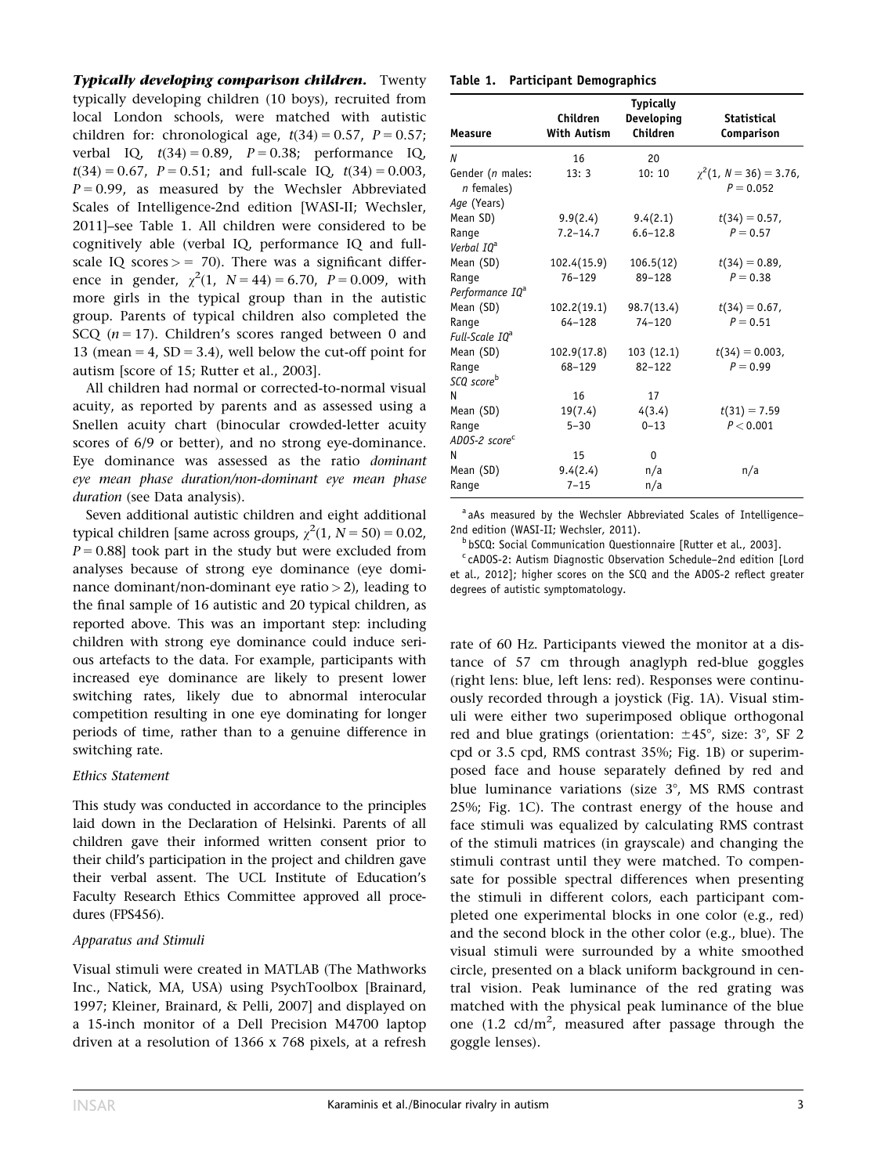Typically developing comparison children. Twenty typically developing children (10 boys), recruited from local London schools, were matched with autistic children for: chronological age,  $t(34) = 0.57$ ,  $P = 0.57$ ; verbal IQ,  $t(34) = 0.89$ ,  $P = 0.38$ ; performance IQ,  $t(34) = 0.67$ ,  $P = 0.51$ ; and full-scale IQ,  $t(34) = 0.003$ ,  $P = 0.99$ , as measured by the Wechsler Abbreviated Scales of Intelligence-2nd edition [WASI-II; Wechsler, 2011]–see Table 1. All children were considered to be cognitively able (verbal IQ, performance IQ and fullscale IQ scores  $> = 70$ ). There was a significant difference in gender,  $\chi^2(1, N = 44) = 6.70, P = 0.009$ , with more girls in the typical group than in the autistic group. Parents of typical children also completed the SCQ  $(n = 17)$ . Children's scores ranged between 0 and 13 (mean  $=$  4, SD  $=$  3.4), well below the cut-off point for autism [score of 15; Rutter et al., 2003].

All children had normal or corrected-to-normal visual acuity, as reported by parents and as assessed using a Snellen acuity chart (binocular crowded-letter acuity scores of 6/9 or better), and no strong eye-dominance. Eye dominance was assessed as the ratio dominant eye mean phase duration/non-dominant eye mean phase duration (see Data analysis).

Seven additional autistic children and eight additional typical children [same across groups,  $\chi^2(1, N = 50) = 0.02$ ,  $P = 0.88$ ] took part in the study but were excluded from analyses because of strong eye dominance (eye dominance dominant/non-dominant eye ratio  $>$  2), leading to the final sample of 16 autistic and 20 typical children, as reported above. This was an important step: including children with strong eye dominance could induce serious artefacts to the data. For example, participants with increased eye dominance are likely to present lower switching rates, likely due to abnormal interocular competition resulting in one eye dominating for longer periods of time, rather than to a genuine difference in switching rate.

## Ethics Statement

This study was conducted in accordance to the principles laid down in the Declaration of Helsinki. Parents of all children gave their informed written consent prior to their child's participation in the project and children gave their verbal assent. The UCL Institute of Education's Faculty Research Ethics Committee approved all procedures (FPS456).

## Apparatus and Stimuli

Visual stimuli were created in MATLAB (The Mathworks Inc., Natick, MA, USA) using PsychToolbox [Brainard, 1997; Kleiner, Brainard, & Pelli, 2007] and displayed on a 15-inch monitor of a Dell Precision M4700 laptop driven at a resolution of 1366 x 768 pixels, at a refresh

Table 1. Participant Demographics

| Measure                          | Children<br><b>With Autism</b> | <b>Typically</b><br>Developing<br>Children | <b>Statistical</b><br>Comparison              |
|----------------------------------|--------------------------------|--------------------------------------------|-----------------------------------------------|
| N                                | 16                             | 20                                         |                                               |
| Gender (n males:<br>$n$ females) | 13:3                           | 10:10                                      | $\gamma^2(1, N = 36) = 3.76$ ,<br>$P = 0.052$ |
| Age (Years)                      |                                |                                            |                                               |
| Mean SD)                         | 9.9(2.4)                       | 9.4(2.1)                                   | $t(34) = 0.57$ ,                              |
| Range<br>Verbal IQ <sup>a</sup>  | $7.2 - 14.7$                   | $6.6 - 12.8$                               | $P = 0.57$                                    |
| Mean (SD)                        | 102.4(15.9)                    | 106.5(12)                                  | $t(34) = 0.89$ ,                              |
| Range                            | $76 - 129$                     | $89 - 128$                                 | $P = 0.38$                                    |
| Performance IQ <sup>a</sup>      |                                |                                            |                                               |
| Mean (SD)                        | 102.2(19.1)                    | 98.7(13.4)                                 | $t(34) = 0.67$ ,                              |
| Range                            | $64 - 128$                     | $74 - 120$                                 | $P = 0.51$                                    |
| Full-Scale I0 <sup>a</sup>       |                                |                                            |                                               |
| Mean (SD)                        | 102.9(17.8)                    | 103 (12.1)                                 | $t(34) = 0.003$ ,                             |
| Range                            | 68-129                         | $82 - 122$                                 | $P = 0.99$                                    |
| SCO score <sup>b</sup>           |                                |                                            |                                               |
| N                                | 16                             | 17                                         |                                               |
| Mean (SD)                        | 19(7.4)                        | 4(3.4)                                     | $t(31) = 7.59$                                |
| Range                            | $5 - 30$                       | $0 - 13$                                   | P < 0.001                                     |
| ADOS-2 score <sup>c</sup>        |                                |                                            |                                               |
| N                                | 15                             | 0                                          |                                               |
| Mean (SD)                        | 9.4(2.4)                       | n/a                                        | n/a                                           |
| Range                            | $7 - 15$                       | n/a                                        |                                               |

a aAs measured by the Wechsler Abbreviated Scales of Intelligence-2nd edition (WASI-II; Wechsler, 2011).

<sup>b</sup> bSCQ: Social Communication Questionnaire [Rutter et al., 2003].

<sup>c</sup> cADOS-2: Autism Diagnostic Observation Schedule-2nd edition [Lord et al., 2012]; higher scores on the SCQ and the ADOS-2 reflect greater degrees of autistic symptomatology.

rate of 60 Hz. Participants viewed the monitor at a distance of 57 cm through anaglyph red-blue goggles (right lens: blue, left lens: red). Responses were continuously recorded through a joystick (Fig. 1A). Visual stimuli were either two superimposed oblique orthogonal red and blue gratings (orientation:  $\pm 45^\circ$ , size: 3°, SF 2 cpd or 3.5 cpd, RMS contrast 35%; Fig. 1B) or superimposed face and house separately defined by red and blue luminance variations (size  $3^{\circ}$ , MS RMS contrast 25%; Fig. 1C). The contrast energy of the house and face stimuli was equalized by calculating RMS contrast of the stimuli matrices (in grayscale) and changing the stimuli contrast until they were matched. To compensate for possible spectral differences when presenting the stimuli in different colors, each participant completed one experimental blocks in one color (e.g., red) and the second block in the other color (e.g., blue). The visual stimuli were surrounded by a white smoothed circle, presented on a black uniform background in central vision. Peak luminance of the red grating was matched with the physical peak luminance of the blue one (1.2  $cd/m^2$ , measured after passage through the goggle lenses).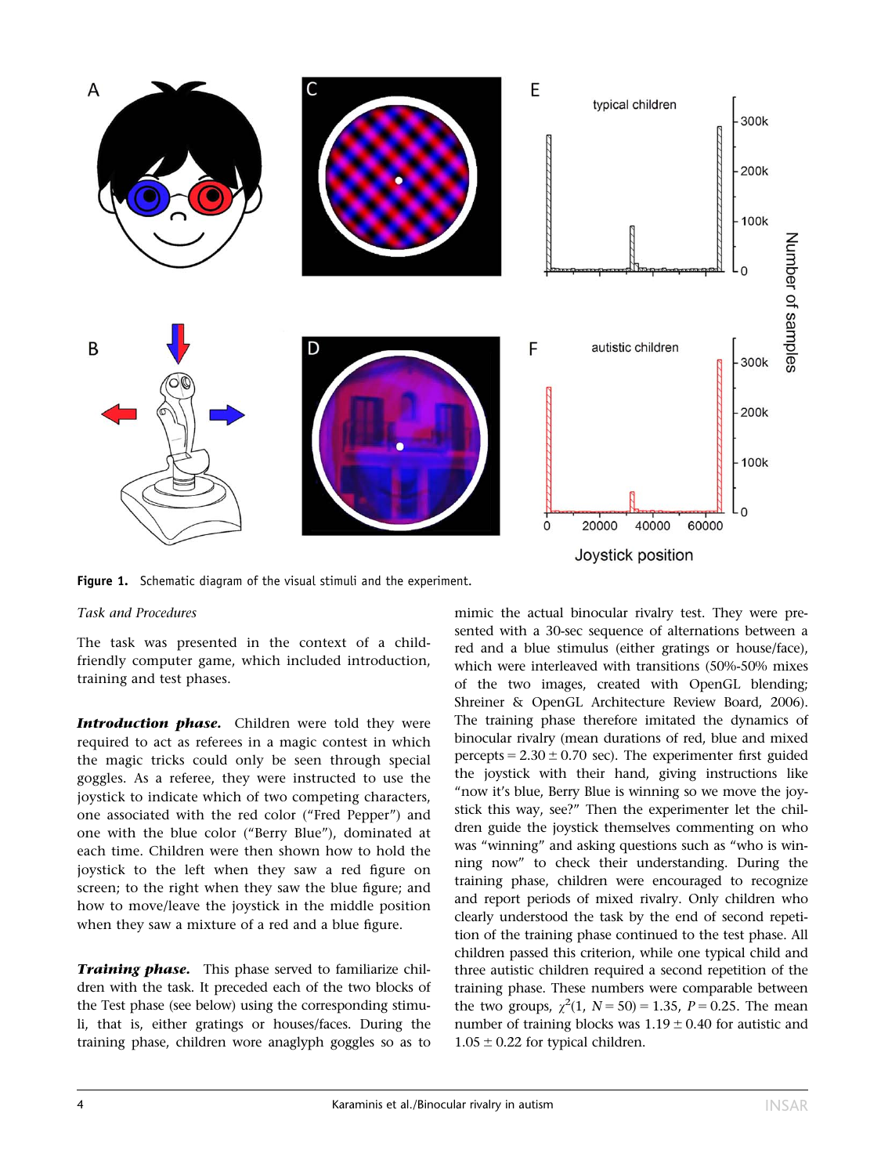

Figure 1. Schematic diagram of the visual stimuli and the experiment.

# Task and Procedures

The task was presented in the context of a childfriendly computer game, which included introduction, training and test phases.

**Introduction phase.** Children were told they were required to act as referees in a magic contest in which the magic tricks could only be seen through special goggles. As a referee, they were instructed to use the joystick to indicate which of two competing characters, one associated with the red color ("Fred Pepper") and one with the blue color ("Berry Blue"), dominated at each time. Children were then shown how to hold the joystick to the left when they saw a red figure on screen; to the right when they saw the blue figure; and how to move/leave the joystick in the middle position when they saw a mixture of a red and a blue figure.

Training phase. This phase served to familiarize children with the task. It preceded each of the two blocks of the Test phase (see below) using the corresponding stimuli, that is, either gratings or houses/faces. During the training phase, children wore anaglyph goggles so as to

mimic the actual binocular rivalry test. They were presented with a 30-sec sequence of alternations between a red and a blue stimulus (either gratings or house/face), which were interleaved with transitions (50%-50% mixes of the two images, created with OpenGL blending; Shreiner & OpenGL Architecture Review Board, 2006). The training phase therefore imitated the dynamics of binocular rivalry (mean durations of red, blue and mixed percepts =  $2.30 \pm 0.70$  sec). The experimenter first guided the joystick with their hand, giving instructions like "now it's blue, Berry Blue is winning so we move the joystick this way, see?" Then the experimenter let the children guide the joystick themselves commenting on who was "winning" and asking questions such as "who is winning now" to check their understanding. During the training phase, children were encouraged to recognize and report periods of mixed rivalry. Only children who clearly understood the task by the end of second repetition of the training phase continued to the test phase. All children passed this criterion, while one typical child and three autistic children required a second repetition of the training phase. These numbers were comparable between the two groups,  $\chi^2(1, N = 50) = 1.35$ ,  $P = 0.25$ . The mean number of training blocks was  $1.19 \pm 0.40$  for autistic and  $1.05 \pm 0.22$  for typical children.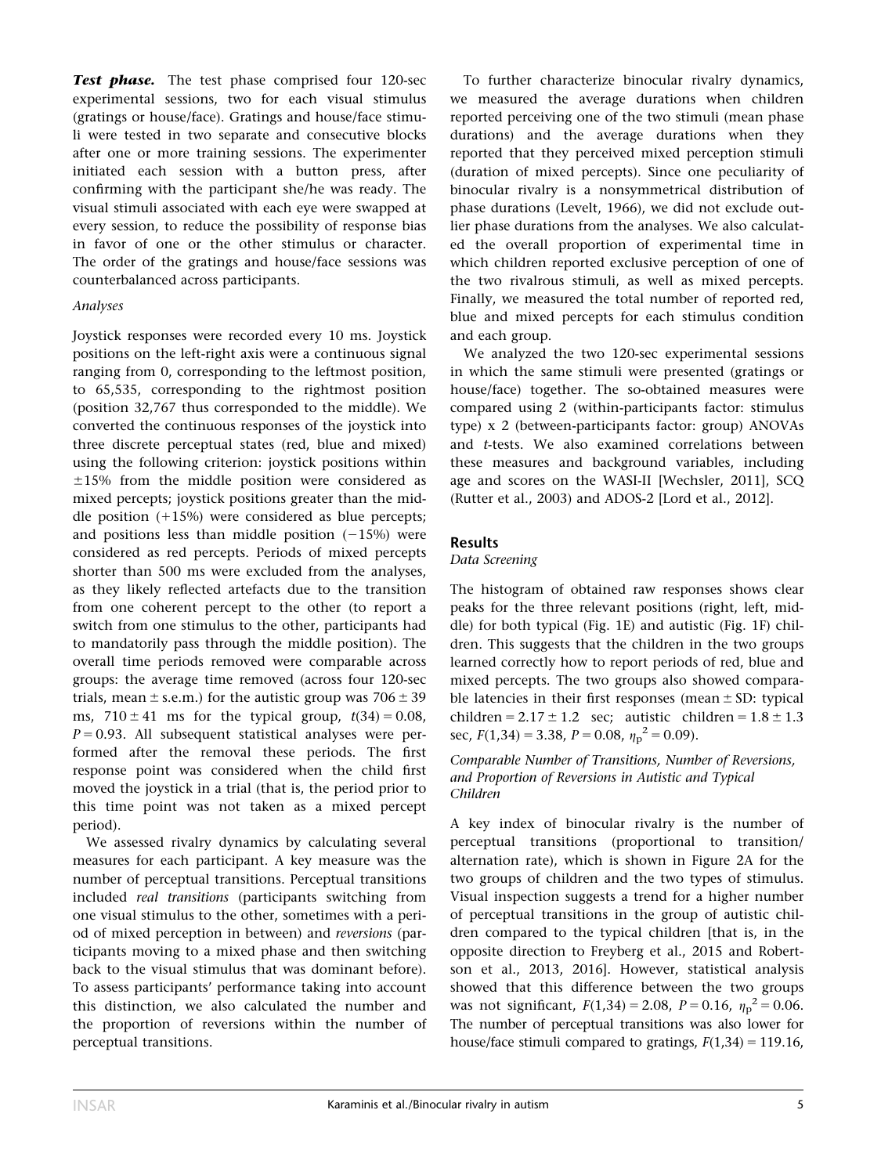Test phase. The test phase comprised four 120-sec experimental sessions, two for each visual stimulus (gratings or house/face). Gratings and house/face stimuli were tested in two separate and consecutive blocks after one or more training sessions. The experimenter initiated each session with a button press, after confirming with the participant she/he was ready. The visual stimuli associated with each eye were swapped at every session, to reduce the possibility of response bias in favor of one or the other stimulus or character. The order of the gratings and house/face sessions was counterbalanced across participants.

#### Analyses

Joystick responses were recorded every 10 ms. Joystick positions on the left-right axis were a continuous signal ranging from 0, corresponding to the leftmost position, to 65,535, corresponding to the rightmost position (position 32,767 thus corresponded to the middle). We converted the continuous responses of the joystick into three discrete perceptual states (red, blue and mixed) using the following criterion: joystick positions within  $±15%$  from the middle position were considered as mixed percepts; joystick positions greater than the middle position  $(+15%)$  were considered as blue percepts; and positions less than middle position  $(-15%)$  were considered as red percepts. Periods of mixed percepts shorter than 500 ms were excluded from the analyses, as they likely reflected artefacts due to the transition from one coherent percept to the other (to report a switch from one stimulus to the other, participants had to mandatorily pass through the middle position). The overall time periods removed were comparable across groups: the average time removed (across four 120-sec trials, mean  $\pm$  s.e.m.) for the autistic group was 706  $\pm$  39 ms,  $710 \pm 41$  ms for the typical group,  $t(34) = 0.08$ ,  $P = 0.93$ . All subsequent statistical analyses were performed after the removal these periods. The first response point was considered when the child first moved the joystick in a trial (that is, the period prior to this time point was not taken as a mixed percept period).

We assessed rivalry dynamics by calculating several measures for each participant. A key measure was the number of perceptual transitions. Perceptual transitions included real transitions (participants switching from one visual stimulus to the other, sometimes with a period of mixed perception in between) and reversions (participants moving to a mixed phase and then switching back to the visual stimulus that was dominant before). To assess participants' performance taking into account this distinction, we also calculated the number and the proportion of reversions within the number of perceptual transitions.

To further characterize binocular rivalry dynamics, we measured the average durations when children reported perceiving one of the two stimuli (mean phase durations) and the average durations when they reported that they perceived mixed perception stimuli (duration of mixed percepts). Since one peculiarity of binocular rivalry is a nonsymmetrical distribution of phase durations (Levelt, 1966), we did not exclude outlier phase durations from the analyses. We also calculated the overall proportion of experimental time in which children reported exclusive perception of one of the two rivalrous stimuli, as well as mixed percepts. Finally, we measured the total number of reported red, blue and mixed percepts for each stimulus condition and each group.

We analyzed the two 120-sec experimental sessions in which the same stimuli were presented (gratings or house/face) together. The so-obtained measures were compared using 2 (within-participants factor: stimulus type) x 2 (between-participants factor: group) ANOVAs and t-tests. We also examined correlations between these measures and background variables, including age and scores on the WASI-II [Wechsler, 2011], SCQ (Rutter et al., 2003) and ADOS-2 [Lord et al., 2012].

## Results

#### Data Screening

The histogram of obtained raw responses shows clear peaks for the three relevant positions (right, left, middle) for both typical (Fig. 1E) and autistic (Fig. 1F) children. This suggests that the children in the two groups learned correctly how to report periods of red, blue and mixed percepts. The two groups also showed comparable latencies in their first responses (mean  $\pm$  SD: typical children =  $2.17 \pm 1.2$  sec; autistic children =  $1.8 \pm 1.3$ sec,  $F(1,34) = 3.38$ ,  $P = 0.08$ ,  $\eta_p^2 = 0.09$ ).

Comparable Number of Transitions, Number of Reversions, and Proportion of Reversions in Autistic and Typical Children

A key index of binocular rivalry is the number of perceptual transitions (proportional to transition/ alternation rate), which is shown in Figure 2A for the two groups of children and the two types of stimulus. Visual inspection suggests a trend for a higher number of perceptual transitions in the group of autistic children compared to the typical children [that is, in the opposite direction to Freyberg et al., 2015 and Robertson et al., 2013, 2016]. However, statistical analysis showed that this difference between the two groups was not significant,  $F(1,34) = 2.08$ ,  $P = 0.16$ ,  $\eta_p^2 = 0.06$ . The number of perceptual transitions was also lower for house/face stimuli compared to gratings,  $F(1,34) = 119.16$ ,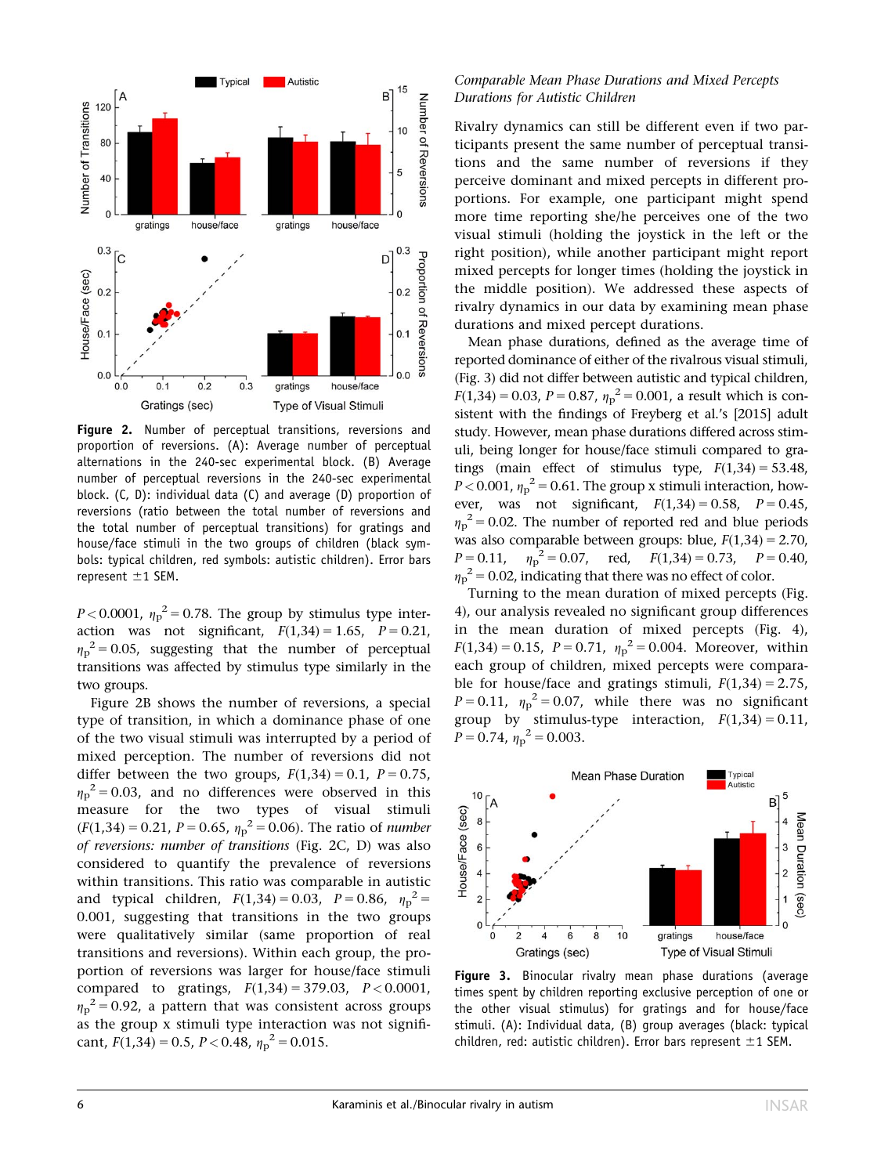

Figure 2. Number of perceptual transitions, reversions and proportion of reversions. (A): Average number of perceptual alternations in the 240-sec experimental block. (B) Average number of perceptual reversions in the 240-sec experimental block. (C, D): individual data (C) and average (D) proportion of reversions (ratio between the total number of reversions and the total number of perceptual transitions) for gratings and house/face stimuli in the two groups of children (black symbols: typical children, red symbols: autistic children). Error bars represent  $\pm$ 1 SEM.

 $P < 0.0001$ ,  $\eta_{\rm p}^2 = 0.78$ . The group by stimulus type interaction was not significant,  $F(1,34) = 1.65$ ,  $P = 0.21$ ,  $\eta_p^2$  = 0.05, suggesting that the number of perceptual transitions was affected by stimulus type similarly in the two groups.

Figure 2B shows the number of reversions, a special type of transition, in which a dominance phase of one of the two visual stimuli was interrupted by a period of mixed perception. The number of reversions did not differ between the two groups,  $F(1,34) = 0.1$ ,  $P = 0.75$ ,  $\eta_p^2$  = 0.03, and no differences were observed in this measure for the two types of visual stimuli  $(F(1,34) = 0.21, P = 0.65, \eta_p^2 = 0.06)$ . The ratio of *number* of reversions: number of transitions (Fig. 2C, D) was also considered to quantify the prevalence of reversions within transitions. This ratio was comparable in autistic and typical children,  $F(1,34) = 0.03$ ,  $P = 0.86$ ,  $\eta_p^2 =$ 0.001, suggesting that transitions in the two groups were qualitatively similar (same proportion of real transitions and reversions). Within each group, the proportion of reversions was larger for house/face stimuli compared to gratings,  $F(1,34) = 379.03$ ,  $P < 0.0001$ ,  $\eta_{\rm p}{}^2$  = 0.92, a pattern that was consistent across groups as the group x stimuli type interaction was not significant,  $F(1,34) = 0.5$ ,  $P < 0.48$ ,  $\eta_p^2 = 0.015$ .

## Comparable Mean Phase Durations and Mixed Percepts Durations for Autistic Children

Rivalry dynamics can still be different even if two participants present the same number of perceptual transitions and the same number of reversions if they perceive dominant and mixed percepts in different proportions. For example, one participant might spend more time reporting she/he perceives one of the two visual stimuli (holding the joystick in the left or the right position), while another participant might report mixed percepts for longer times (holding the joystick in the middle position). We addressed these aspects of rivalry dynamics in our data by examining mean phase durations and mixed percept durations.

Mean phase durations, defined as the average time of reported dominance of either of the rivalrous visual stimuli, (Fig. 3) did not differ between autistic and typical children,  $F(1,34) = 0.03$ ,  $P = 0.87$ ,  $\eta_p^2 = 0.001$ , a result which is consistent with the findings of Freyberg et al.'s [2015] adult study. However, mean phase durations differed across stimuli, being longer for house/face stimuli compared to gratings (main effect of stimulus type,  $F(1,34) = 53.48$ ,  $P < 0.001$ ,  ${\eta_{\rm p}}^2 = 0.61$ . The group x stimuli interaction, however, was not significant,  $F(1,34) = 0.58$ ,  $P = 0.45$ ,  $\eta_p^2$  = 0.02. The number of reported red and blue periods was also comparable between groups: blue,  $F(1,34) = 2.70$ ,  $P = 0.11$ ,  $\eta_{\rm p}^2 = 0.07$ , red,  $F(1,34) = 0.73$ ,  $P = 0.40$ ,  $\eta_p^2$  = 0.02, indicating that there was no effect of color.

Turning to the mean duration of mixed percepts (Fig. 4), our analysis revealed no significant group differences in the mean duration of mixed percepts (Fig. 4),  $F(1,34) = 0.15$ ,  $P = 0.71$ ,  $\eta_p^2 = 0.004$ . Moreover, within each group of children, mixed percepts were comparable for house/face and gratings stimuli,  $F(1,34) = 2.75$ ,  $P = 0.11$ ,  $\eta_{\rm p}^2 = 0.07$ , while there was no significant group by stimulus-type interaction,  $F(1,34) = 0.11$ ,  $P = 0.74, \eta_{\rm p}^2 = 0.003$ .



Figure 3. Binocular rivalry mean phase durations (average times spent by children reporting exclusive perception of one or the other visual stimulus) for gratings and for house/face stimuli. (A): Individual data, (B) group averages (black: typical children, red: autistic children). Error bars represent  $\pm 1$  SEM.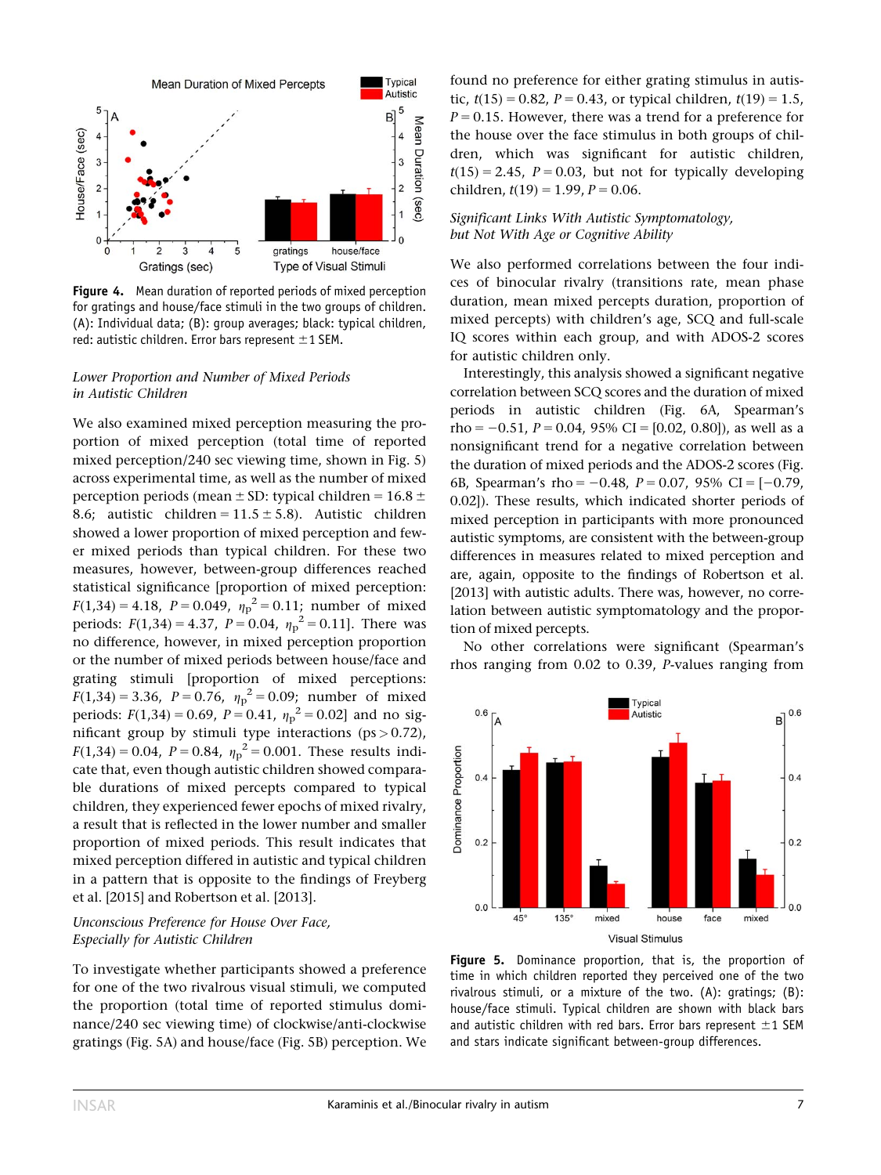

Figure 4. Mean duration of reported periods of mixed perception for gratings and house/face stimuli in the two groups of children. (A): Individual data; (B): group averages; black: typical children, red: autistic children. Error bars represent  $\pm$ 1 SEM.

#### Lower Proportion and Number of Mixed Periods in Autistic Children

We also examined mixed perception measuring the proportion of mixed perception (total time of reported mixed perception/240 sec viewing time, shown in Fig. 5) across experimental time, as well as the number of mixed perception periods (mean  $\pm$  SD: typical children = 16.8  $\pm$ 8.6; autistic children =  $11.5 \pm 5.8$ ). Autistic children showed a lower proportion of mixed perception and fewer mixed periods than typical children. For these two measures, however, between-group differences reached statistical significance [proportion of mixed perception:  $F(1,34) = 4.18$ ,  $P = 0.049$ ,  $\eta_p^2 = 0.11$ ; number of mixed periods:  $F(1,34) = 4.37$ ,  $P = 0.04$ ,  $\eta_p^2 = 0.11$ ]. There was no difference, however, in mixed perception proportion or the number of mixed periods between house/face and grating stimuli [proportion of mixed perceptions:  $F(1,34) = 3.36$ ,  $P = 0.76$ ,  $\eta_p^2 = 0.09$ ; number of mixed periods:  $F(1,34) = 0.69$ ,  $P = 0.41$ ,  $\eta_p^2 = 0.02$ ] and no significant group by stimuli type interactions (ps  $> 0.72$ ),  $F(1,34) = 0.04$ ,  $P = 0.84$ ,  $\eta_p^2 = 0.001$ . These results indicate that, even though autistic children showed comparable durations of mixed percepts compared to typical children, they experienced fewer epochs of mixed rivalry, a result that is reflected in the lower number and smaller proportion of mixed periods. This result indicates that mixed perception differed in autistic and typical children in a pattern that is opposite to the findings of Freyberg et al. [2015] and Robertson et al. [2013].

## Unconscious Preference for House Over Face, Especially for Autistic Children

To investigate whether participants showed a preference for one of the two rivalrous visual stimuli, we computed the proportion (total time of reported stimulus dominance/240 sec viewing time) of clockwise/anti-clockwise gratings (Fig. 5A) and house/face (Fig. 5B) perception. We found no preference for either grating stimulus in autistic,  $t(15) = 0.82$ ,  $P = 0.43$ , or typical children,  $t(19) = 1.5$ ,  $P = 0.15$ . However, there was a trend for a preference for the house over the face stimulus in both groups of children, which was significant for autistic children,  $t(15) = 2.45$ ,  $P = 0.03$ , but not for typically developing children,  $t(19) = 1.99$ ,  $P = 0.06$ .

#### Significant Links With Autistic Symptomatology, but Not With Age or Cognitive Ability

We also performed correlations between the four indices of binocular rivalry (transitions rate, mean phase duration, mean mixed percepts duration, proportion of mixed percepts) with children's age, SCQ and full-scale IQ scores within each group, and with ADOS-2 scores for autistic children only.

Interestingly, this analysis showed a significant negative correlation between SCQ scores and the duration of mixed periods in autistic children (Fig. 6A, Spearman's  $rho = -0.51$ ,  $P = 0.04$ , 95% CI = [0.02, 0.80]), as well as a nonsignificant trend for a negative correlation between the duration of mixed periods and the ADOS-2 scores (Fig. 6B, Spearman's rho =  $-0.48$ ,  $P = 0.07$ , 95% CI =  $[-0.79]$ , 0.02]). These results, which indicated shorter periods of mixed perception in participants with more pronounced autistic symptoms, are consistent with the between-group differences in measures related to mixed perception and are, again, opposite to the findings of Robertson et al. [2013] with autistic adults. There was, however, no correlation between autistic symptomatology and the proportion of mixed percepts.

No other correlations were significant (Spearman's rhos ranging from 0.02 to 0.39, P-values ranging from



Figure 5. Dominance proportion, that is, the proportion of time in which children reported they perceived one of the two rivalrous stimuli, or a mixture of the two. (A): gratings; (B): house/face stimuli. Typical children are shown with black bars and autistic children with red bars. Error bars represent  $\pm 1$  SEM and stars indicate significant between-group differences.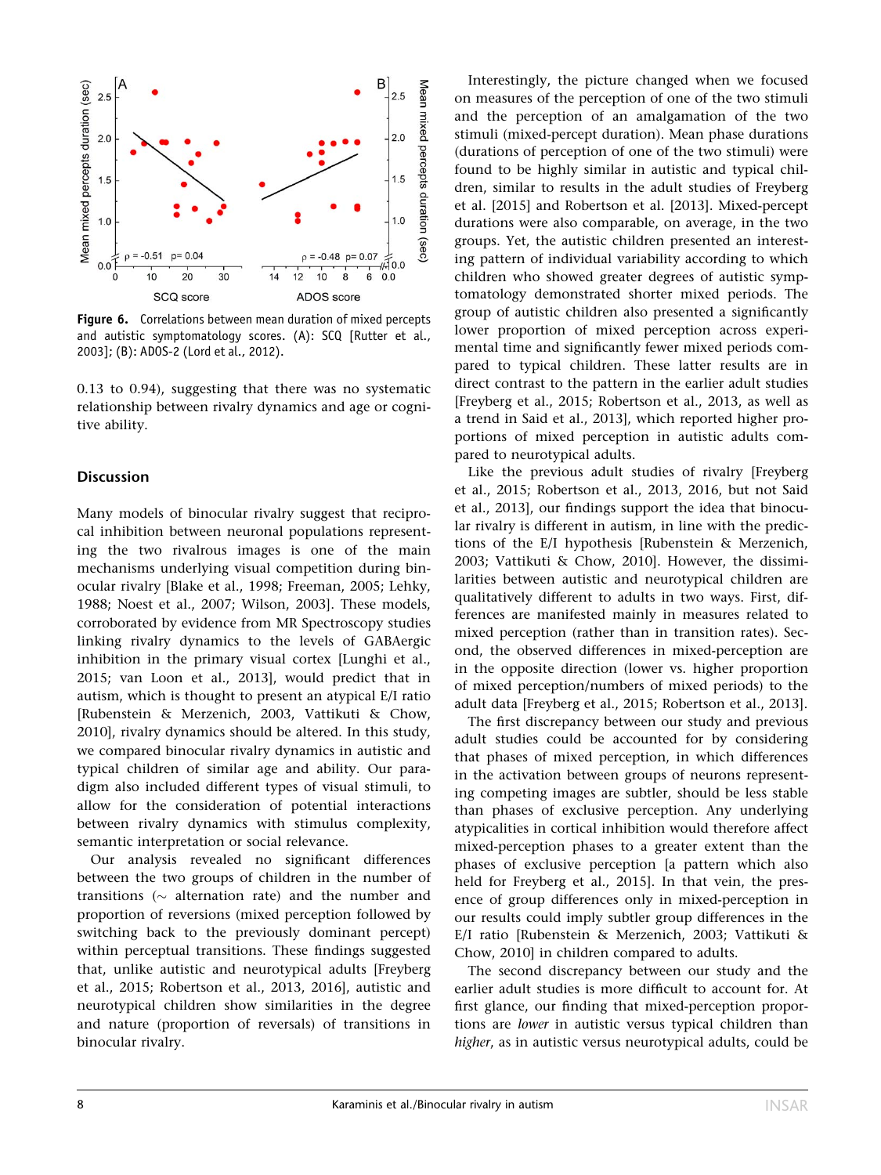

Figure 6. Correlations between mean duration of mixed percepts and autistic symptomatology scores. (A): SCQ [Rutter et al., 2003]; (B): ADOS-2 (Lord et al., 2012).

0.13 to 0.94), suggesting that there was no systematic relationship between rivalry dynamics and age or cognitive ability.

## **Discussion**

Many models of binocular rivalry suggest that reciprocal inhibition between neuronal populations representing the two rivalrous images is one of the main mechanisms underlying visual competition during binocular rivalry [Blake et al., 1998; Freeman, 2005; Lehky, 1988; Noest et al., 2007; Wilson, 2003]. These models, corroborated by evidence from MR Spectroscopy studies linking rivalry dynamics to the levels of GABAergic inhibition in the primary visual cortex [Lunghi et al., 2015; van Loon et al., 2013], would predict that in autism, which is thought to present an atypical E/I ratio [Rubenstein & Merzenich, 2003, Vattikuti & Chow, 2010], rivalry dynamics should be altered. In this study, we compared binocular rivalry dynamics in autistic and typical children of similar age and ability. Our paradigm also included different types of visual stimuli, to allow for the consideration of potential interactions between rivalry dynamics with stimulus complexity, semantic interpretation or social relevance.

Our analysis revealed no significant differences between the two groups of children in the number of transitions ( $\sim$  alternation rate) and the number and proportion of reversions (mixed perception followed by switching back to the previously dominant percept) within perceptual transitions. These findings suggested that, unlike autistic and neurotypical adults [Freyberg et al., 2015; Robertson et al., 2013, 2016], autistic and neurotypical children show similarities in the degree and nature (proportion of reversals) of transitions in binocular rivalry.

Interestingly, the picture changed when we focused on measures of the perception of one of the two stimuli and the perception of an amalgamation of the two stimuli (mixed-percept duration). Mean phase durations (durations of perception of one of the two stimuli) were found to be highly similar in autistic and typical children, similar to results in the adult studies of Freyberg et al. [2015] and Robertson et al. [2013]. Mixed-percept durations were also comparable, on average, in the two groups. Yet, the autistic children presented an interesting pattern of individual variability according to which children who showed greater degrees of autistic symptomatology demonstrated shorter mixed periods. The group of autistic children also presented a significantly lower proportion of mixed perception across experimental time and significantly fewer mixed periods compared to typical children. These latter results are in direct contrast to the pattern in the earlier adult studies [Freyberg et al., 2015; Robertson et al., 2013, as well as a trend in Said et al., 2013], which reported higher proportions of mixed perception in autistic adults compared to neurotypical adults.

Like the previous adult studies of rivalry [Freyberg et al., 2015; Robertson et al., 2013, 2016, but not Said et al., 2013], our findings support the idea that binocular rivalry is different in autism, in line with the predictions of the E/I hypothesis [Rubenstein & Merzenich, 2003; Vattikuti & Chow, 2010]. However, the dissimilarities between autistic and neurotypical children are qualitatively different to adults in two ways. First, differences are manifested mainly in measures related to mixed perception (rather than in transition rates). Second, the observed differences in mixed-perception are in the opposite direction (lower vs. higher proportion of mixed perception/numbers of mixed periods) to the adult data [Freyberg et al., 2015; Robertson et al., 2013].

The first discrepancy between our study and previous adult studies could be accounted for by considering that phases of mixed perception, in which differences in the activation between groups of neurons representing competing images are subtler, should be less stable than phases of exclusive perception. Any underlying atypicalities in cortical inhibition would therefore affect mixed-perception phases to a greater extent than the phases of exclusive perception [a pattern which also held for Freyberg et al., 2015]. In that vein, the presence of group differences only in mixed-perception in our results could imply subtler group differences in the E/I ratio [Rubenstein & Merzenich, 2003; Vattikuti & Chow, 2010] in children compared to adults.

The second discrepancy between our study and the earlier adult studies is more difficult to account for. At first glance, our finding that mixed-perception proportions are lower in autistic versus typical children than higher, as in autistic versus neurotypical adults, could be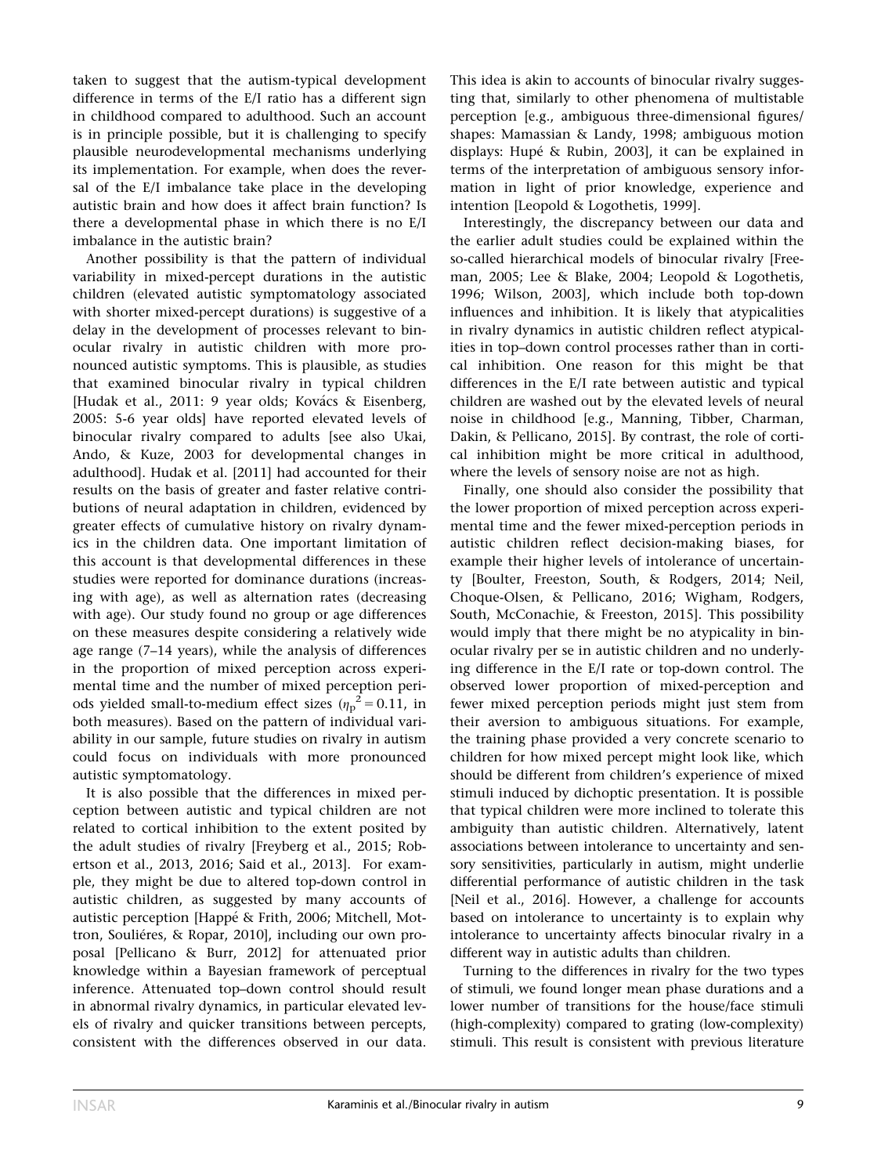taken to suggest that the autism-typical development difference in terms of the E/I ratio has a different sign in childhood compared to adulthood. Such an account is in principle possible, but it is challenging to specify plausible neurodevelopmental mechanisms underlying its implementation. For example, when does the reversal of the E/I imbalance take place in the developing autistic brain and how does it affect brain function? Is there a developmental phase in which there is no E/I imbalance in the autistic brain?

Another possibility is that the pattern of individual variability in mixed-percept durations in the autistic children (elevated autistic symptomatology associated with shorter mixed-percept durations) is suggestive of a delay in the development of processes relevant to binocular rivalry in autistic children with more pronounced autistic symptoms. This is plausible, as studies that examined binocular rivalry in typical children [Hudak et al., 2011: 9 year olds; Kovács & Eisenberg, 2005: 5-6 year olds] have reported elevated levels of binocular rivalry compared to adults [see also Ukai, Ando, & Kuze, 2003 for developmental changes in adulthood]. Hudak et al. [2011] had accounted for their results on the basis of greater and faster relative contributions of neural adaptation in children, evidenced by greater effects of cumulative history on rivalry dynamics in the children data. One important limitation of this account is that developmental differences in these studies were reported for dominance durations (increasing with age), as well as alternation rates (decreasing with age). Our study found no group or age differences on these measures despite considering a relatively wide age range (7–14 years), while the analysis of differences in the proportion of mixed perception across experimental time and the number of mixed perception periods yielded small-to-medium effect sizes  $(\eta_p^2 = 0.11, \text{ in}$ both measures). Based on the pattern of individual variability in our sample, future studies on rivalry in autism could focus on individuals with more pronounced autistic symptomatology.

It is also possible that the differences in mixed perception between autistic and typical children are not related to cortical inhibition to the extent posited by the adult studies of rivalry [Freyberg et al., 2015; Robertson et al., 2013, 2016; Said et al., 2013]. For example, they might be due to altered top-down control in autistic children, as suggested by many accounts of autistic perception [Happé & Frith, 2006; Mitchell, Mottron, Souliéres, & Ropar, 2010], including our own proposal [Pellicano & Burr, 2012] for attenuated prior knowledge within a Bayesian framework of perceptual inference. Attenuated top–down control should result in abnormal rivalry dynamics, in particular elevated levels of rivalry and quicker transitions between percepts, consistent with the differences observed in our data. This idea is akin to accounts of binocular rivalry suggesting that, similarly to other phenomena of multistable perception [e.g., ambiguous three-dimensional figures/ shapes: Mamassian & Landy, 1998; ambiguous motion displays: Hupé & Rubin, 2003], it can be explained in terms of the interpretation of ambiguous sensory information in light of prior knowledge, experience and intention [Leopold & Logothetis, 1999].

Interestingly, the discrepancy between our data and the earlier adult studies could be explained within the so-called hierarchical models of binocular rivalry [Freeman, 2005; Lee & Blake, 2004; Leopold & Logothetis, 1996; Wilson, 2003], which include both top-down influences and inhibition. It is likely that atypicalities in rivalry dynamics in autistic children reflect atypicalities in top–down control processes rather than in cortical inhibition. One reason for this might be that differences in the E/I rate between autistic and typical children are washed out by the elevated levels of neural noise in childhood [e.g., Manning, Tibber, Charman, Dakin, & Pellicano, 2015]. By contrast, the role of cortical inhibition might be more critical in adulthood, where the levels of sensory noise are not as high.

Finally, one should also consider the possibility that the lower proportion of mixed perception across experimental time and the fewer mixed-perception periods in autistic children reflect decision-making biases, for example their higher levels of intolerance of uncertainty [Boulter, Freeston, South, & Rodgers, 2014; Neil, Choque-Olsen, & Pellicano, 2016; Wigham, Rodgers, South, McConachie, & Freeston, 2015]. This possibility would imply that there might be no atypicality in binocular rivalry per se in autistic children and no underlying difference in the E/I rate or top-down control. The observed lower proportion of mixed-perception and fewer mixed perception periods might just stem from their aversion to ambiguous situations. For example, the training phase provided a very concrete scenario to children for how mixed percept might look like, which should be different from children's experience of mixed stimuli induced by dichoptic presentation. It is possible that typical children were more inclined to tolerate this ambiguity than autistic children. Alternatively, latent associations between intolerance to uncertainty and sensory sensitivities, particularly in autism, might underlie differential performance of autistic children in the task [Neil et al., 2016]. However, a challenge for accounts based on intolerance to uncertainty is to explain why intolerance to uncertainty affects binocular rivalry in a different way in autistic adults than children.

Turning to the differences in rivalry for the two types of stimuli, we found longer mean phase durations and a lower number of transitions for the house/face stimuli (high-complexity) compared to grating (low-complexity) stimuli. This result is consistent with previous literature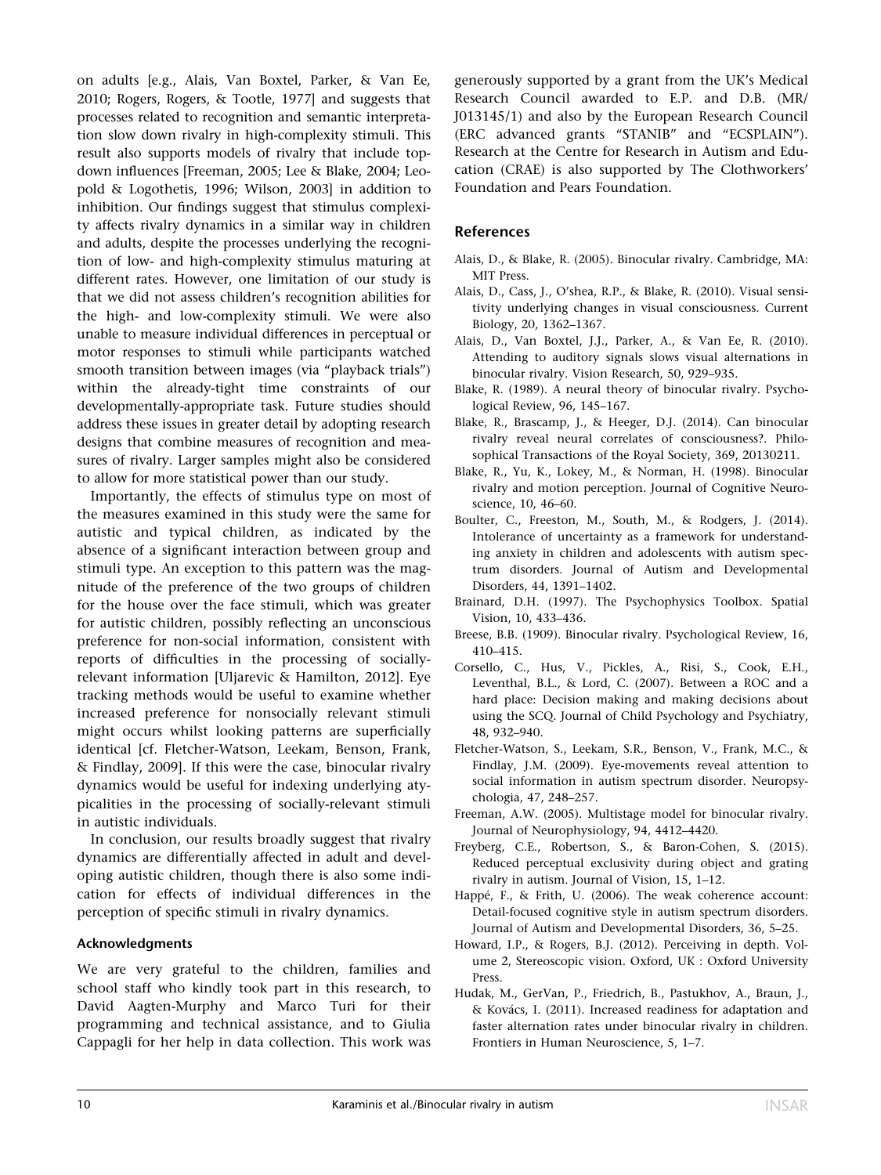on adults [e.g., Alais, Van Boxtel, Parker, & Van Ee, 2010; Rogers, Rogers, & Tootle, 1977] and suggests that processes related to recognition and semantic interpretation slow down rivalry in high-complexity stimuli. This result also supports models of rivalry that include topdown influences [Freeman, 2005; Lee & Blake, 2004; Leopold & Logothetis, 1996; Wilson, 2003] in addition to inhibition. Our findings suggest that stimulus complexity affects rivalry dynamics in a similar way in children and adults, despite the processes underlying the recognition of low- and high-complexity stimulus maturing at different rates. However, one limitation of our study is that we did not assess children's recognition abilities for the high- and low-complexity stimuli. We were also unable to measure individual differences in perceptual or motor responses to stimuli while participants watched smooth transition between images (via "playback trials") within the already-tight time constraints of our developmentally-appropriate task. Future studies should address these issues in greater detail by adopting research designs that combine measures of recognition and measures of rivalry. Larger samples might also be considered to allow for more statistical power than our study.

Importantly, the effects of stimulus type on most of the measures examined in this study were the same for autistic and typical children, as indicated by the absence of a significant interaction between group and stimuli type. An exception to this pattern was the magnitude of the preference of the two groups of children for the house over the face stimuli, which was greater for autistic children, possibly reflecting an unconscious preference for non-social information, consistent with reports of difficulties in the processing of sociallyrelevant information [Uljarevic & Hamilton, 2012]. Eye tracking methods would be useful to examine whether increased preference for nonsocially relevant stimuli might occurs whilst looking patterns are superficially identical [cf. Fletcher-Watson, Leekam, Benson, Frank, & Findlay, 2009]. If this were the case, binocular rivalry dynamics would be useful for indexing underlying atypicalities in the processing of socially-relevant stimuli in autistic individuals.

In conclusion, our results broadly suggest that rivalry dynamics are differentially affected in adult and developing autistic children, though there is also some indication for effects of individual differences in the perception of specific stimuli in rivalry dynamics.

## Acknowledgments

We are very grateful to the children, families and school staff who kindly took part in this research, to David Aagten-Murphy and Marco Turi for their programming and technical assistance, and to Giulia Cappagli for her help in data collection. This work was

generously supported by a grant from the UK's Medical Research Council awarded to E.P. and D.B. (MR/ J013145/1) and also by the European Research Council (ERC advanced grants "STANIB" and "ECSPLAIN"). Research at the Centre for Research in Autism and Education (CRAE) is also supported by The Clothworkers' Foundation and Pears Foundation.

# References

- Alais, D., & Blake, R. (2005). Binocular rivalry. Cambridge, MA: MIT Press.
- Alais, D., Cass, J., O'shea, R.P., & Blake, R. (2010). Visual sensitivity underlying changes in visual consciousness. Current Biology, 20, 1362–1367.
- Alais, D., Van Boxtel, J.J., Parker, A., & Van Ee, R. (2010). Attending to auditory signals slows visual alternations in binocular rivalry. Vision Research, 50, 929–935.
- Blake, R. (1989). A neural theory of binocular rivalry. Psychological Review, 96, 145–167.
- Blake, R., Brascamp, J., & Heeger, D.J. (2014). Can binocular rivalry reveal neural correlates of consciousness?. Philosophical Transactions of the Royal Society, 369, 20130211.
- Blake, R., Yu, K., Lokey, M., & Norman, H. (1998). Binocular rivalry and motion perception. Journal of Cognitive Neuroscience, 10, 46–60.
- Boulter, C., Freeston, M., South, M., & Rodgers, J. (2014). Intolerance of uncertainty as a framework for understanding anxiety in children and adolescents with autism spectrum disorders. Journal of Autism and Developmental Disorders, 44, 1391–1402.
- Brainard, D.H. (1997). The Psychophysics Toolbox. Spatial Vision, 10, 433–436.
- Breese, B.B. (1909). Binocular rivalry. Psychological Review, 16, 410–415.
- Corsello, C., Hus, V., Pickles, A., Risi, S., Cook, E.H., Leventhal, B.L., & Lord, C. (2007). Between a ROC and a hard place: Decision making and making decisions about using the SCQ. Journal of Child Psychology and Psychiatry, 48, 932–940.
- Fletcher-Watson, S., Leekam, S.R., Benson, V., Frank, M.C., & Findlay, J.M. (2009). Eye-movements reveal attention to social information in autism spectrum disorder. Neuropsychologia, 47, 248–257.
- Freeman, A.W. (2005). Multistage model for binocular rivalry. Journal of Neurophysiology, 94, 4412–4420.
- Freyberg, C.E., Robertson, S., & Baron-Cohen, S. (2015). Reduced perceptual exclusivity during object and grating rivalry in autism. Journal of Vision, 15, 1–12.
- Happé, F., & Frith, U. (2006). The weak coherence account: Detail-focused cognitive style in autism spectrum disorders. Journal of Autism and Developmental Disorders, 36, 5–25.
- Howard, I.P., & Rogers, B.J. (2012). Perceiving in depth. Volume 2, Stereoscopic vision. Oxford, UK : Oxford University Press.
- Hudak, M., GerVan, P., Friedrich, B., Pastukhov, A., Braun, J., & Kovács, I. (2011). Increased readiness for adaptation and faster alternation rates under binocular rivalry in children. Frontiers in Human Neuroscience, 5, 1–7.